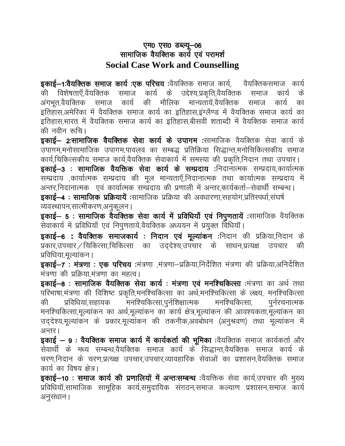## एम0 एस0 डब्ल्यू-06 सामाजिक वैयक्तिक कार्य एवं परामर्श **Social Case Work and Counselling**

इकाई—1:वैयक्तिक समाज कार्य :एक परिचय :वैयक्तिक समाज कार्य, वैयक्तिकसमाज कार्य विशेषताएँ,वैयक्तिक समाज कार्य के उद्देश्य,प्रकृति,वैयक्तिक की समाज कार्य के अंगभत.वैयक्तिक समाज कार्य की मौलिक मान्यतायें.वैयक्तिक कार्य समाज का इतिहास,अमेरिका में वैयक्तिक समाज कार्य का इतिहास,इंग्लैण्ड में वैयक्तिक समाज कार्य का इतिहास.भारत में वैयक्तिक समाज कार्य का इतिहास.बीसवीं शताब्दी में वैयक्तिक समाज कार्य की नवीन रूचि।

इकाई— 2:सामाजिक वैयक्तिक सेवा कार्य के उपागम :सामाजिक वैयक्तिक सेवा कार्य के उपागम,मनोसामाजिक उपागम,पावलव का सम्बद्ध प्रतिक्रिया सिद्धान्त,मनोचिकित्सकीय समाज कार्य,चिकित्सकीय समाज कार्य,वैयक्तिक सेवाकार्य में समस्या की प्रकृति,निदान तथा उपचार। इकाई–3: सामाजिक वैयक्तिक सेवा कार्य के सम्प्रदाय :निदानात्मक सम्प्रदाय,कार्यात्मक सम्प्रदाय ,कार्यात्मक सम्प्रदाय की मूल मान्यताएँ,निदानात्मक तथा कार्यात्मक सम्प्रदाय में अन्तर,निदानात्मक) एवं कार्यात्मक सम्प्रदाय की प्रणाली में अन्तर,कार्यकर्ता–सेवार्थी सम्बन्ध। **डकाई–4 : सामाजिक प्रक्रियायें :**सामाजिक प्रक्रिया की अवधारणा.सहयोग.प्रतिस्पर्धा.संघर्ष व्यवस्थापन,सात्मीकरण,अनुकूलन।

इकाई– 5: सामाजिक वैयक्तिक सेवा कार्य में प्रविधियाँ एवं निपुणतायें :सामाजिक वैयक्तिक सेवाकार्य में प्रविधियाँ एवं निपुणतायें,वैयक्तिक अध्ययन में प्रयुक्त विधियाँ।

इकाई–6: वैयक्तिक समाजकार्य : निदान एवं मूल्यांकन :निदान की प्रक्रिया,निदान के प्रकार,उपचार / चिकित्सा,चिकित्सा का उद्देश्य,उपचार के साधन,प्रत्यक्ष की उपचार प्रविधिया,मुल्यांकन ।

**इकाई–7 : मंत्रणा : एक परिचय :**मंत्रणा ,मंत्रणा–प्रक्रिया,निर्देशित मंत्रणा की प्रक्रिया,अनिर्देशित मंत्रणा की प्रक्रिया,मंत्रणा का महत्व।

इकाई-8: सामाजिक वैयक्तिक सेवा कार्य: मंत्रणा एवं मनश्चिकित्सा मंत्रणा का अर्थ तथा परिभाषा,मंत्रणा की विशिष्ट प्रकृति,मनश्चिकित्सा का अर्थ,मनश्चिकित्सा के लक्ष्य, मनश्चिकित्सा .<br>मनश्चिकित्सा,पुर्नशिक्षात्मक मनश्चिकित्सा, प्रविधियां,सहायक की पुर्नरचनात्मक मनश्चिकित्सा,मूल्यांकन का अर्थ,मूल्यांकन का कार्य क्षेत्र,मूल्यांकन की आवश्यकता,मूल्यांकन का उद्देश्य,मूल्यांकन के प्रकार,मूल्यांकन की तकनीक,अवबोधन (अनुश्रवण) तथा मूल्यांकन में अन्तर।

इकाई - 9: वैयक्तिक समाज कार्य में कार्यकर्ता की भूमिका :वैयक्तिक समाज कार्यकर्ता और सेवार्थी के मध्य सम्बन्ध,वैयक्तिक समाज कार्य के सिद्धान्त,वैयक्तिक समाज कार्य के चरण,निदान के चरण,प्रत्यक्ष उपचार,उपचार,व्यावहारिक सेवाओं का प्रशासन,वैयक्तिक समाज कार्य का विषय क्षेत्र।

इकाई-10: समाज कार्य की प्रणालियों में अन्तःसम्बन्ध :वैयक्तिक सेवा कार्य,उपचार की मुख्य प्रविधियॉ,सामाजिक सामूहिक कार्य,समुदायिक संगठन,समाज कल्याण प्रशासन,समाज कार्य अनुसंधान।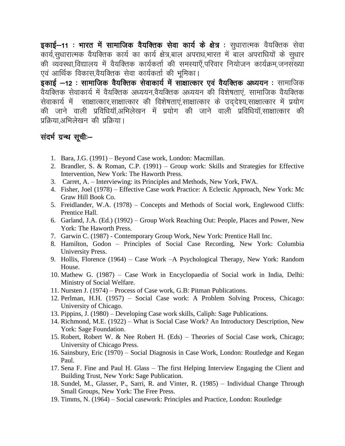इकाई-11: भारत में सामाजिक वैयक्तिक सेवा कार्य के क्षेत्र : सुधारात्मक वैयक्तिक सेवा कार्य,सुधारात्मक वैयक्तिक कार्य का कार्य क्षेत्र,बाल अपराध,भारत में बाल अपराधियों के सुधार की व्यवस्था,विद्यालय में वैयक्तिक कार्यकर्ता की समस्याएँ,परिवार नियोजन कार्यक्रम,जनसंख्या एवं आर्थिक विकास,वैयक्तिक सेवा कार्यकर्ता की भूमिका।

इकाई –12: सामाजिक वैयक्तिक सेवाकार्य में सांक्षात्कार एवं वैयक्तिक अध्ययन : सामाजिक वैयक्तिक सेवाकार्य में वैयक्तिक अध्ययन,वैयक्तिक अध्ययन की विशेषताएं, सामाजिक वैयक्तिक सेवाकार्य में साक्षात्कार,साक्षात्कार की विशेषताएं,साक्षात्कार के उद्देश्य,साक्षात्कार में प्रयोग की जाने वाली प्रविधियॉ,अभिलेखन में प्रयोग की जाने वाली प्रविधियॉ,साक्षात्कार की प्रक्रिया.अभिलेखन की प्रक्रिया।

## संदर्भ ग्रन्थ सूची –

- 1. Bara, J.G. (1991) Beyond Case work, London: Macmillan.
- 2. Brandler, S. & Roman, C.P. (1991) Group work: Skills and Strategies for Effective Intervention, New York: The Haworth Press.
- 3. Carret, A. Interviewing: its Principles and Methods, New York, FWA.
- 4. Fisher, Joel (1978) Effective Case work Practice: A Eclectic Approach, New York: Mc Graw Hill Book Co.
- 5. Freidlander, W.A. (1978) Concepts and Methods of Social work, Englewood Cliffs: Prentice Hall.
- 6. Garland, J.A. (Ed.) (1992) Group Work Reaching Out: People, Places and Power, New York: The Haworth Press.
- 7. Garwin C. (1987) Contemporary Group Work, New York: Prentice Hall Inc.
- 8. Hamilton, Godon Principles of Social Case Recording, New York: Columbia University Press.
- 9. Hollis, Florence (1964) Case Work A Psychological Therapy, New York: Random House.
- 10. Mathew G. (1987) Case Work in Encyclopaedia of Social work in India, Delhi: Ministry of Social Welfare.
- 11. Nursten J. (1974) Process of Case work, G.B: Pitman Publications.
- 12. Perlman, H.H. (1957) Social Case work: A Problem Solving Process, Chicago: University of Chicago.
- 13. Pippins, J. (1980) Developing Case work skills, Caliph: Sage Publications.
- 14. Richmond, M.E. (1922) What is Social Case Work? An Introductory Description, New York: Sage Foundation.
- 15. Robert, Robert W. & Nee Robert H. (Eds) Theories of Social Case work, Chicago; University of Chicago Press.
- 16. Sainsbury, Eric (1970) Social Diagnosis in Case Work, London: Routledge and Kegan Paul.
- 17. Sena F. Fine and Paul H. Glass The first Helping Interview Engaging the Client and Building Trust, New York: Sage Publication.
- 18. Sundel, M., Glasser, P., Sarri, R. and Vinter, R. (1985) Individual Change Through Small Groups, New York: The Free Press.
- 19. Timms, N. (1964) Social casework: Principles and Practice, London: Routledge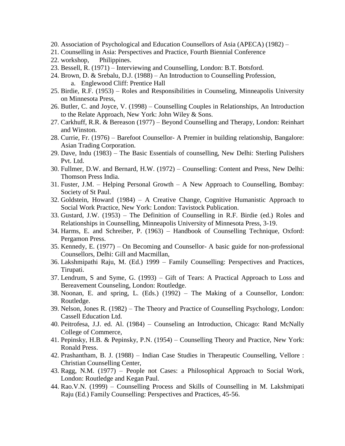- 20. Association of Psychological and Education Counsellors of Asia (APECA) (1982) –
- 21. Counselling in Asia: Perspectives and Practice, Fourth Biennial Conference
- 22. workshop, Philippines.
- 23. Bessell, R. (1971) Interviewing and Counselling, London: B.T. Botsford.
- 24. Brown, D. & Srebalu, D.J. (1988) An Introduction to Counselling Profession, a. Englewood Cliff: Prentice Hall
- 25. Birdie, R.F. (1953) Roles and Responsibilities in Counseling, Minneapolis University on Minnesota Press,
- 26. Butler, C. and Joyce, V. (1998) Counselling Couples in Relationships, An Introduction to the Relate Approach, New York: John Wiley & Sons.
- 27. Carkhuff, R.R. & Bereason (1977) Beyond Counselling and Therapy, London: Reinhart and Winston.
- 28. Currie, Fr. (1976) Barefoot Counsellor- A Premier in building relationship, Bangalore: Asian Trading Corporation.
- 29. Dave, Indu (1983) The Basic Essentials of counselling, New Delhi: Sterling Pulishers Pvt. Ltd.
- 30. Fullmer, D.W. and Bernard, H.W. (1972) Counselling: Content and Press, New Delhi: Thomson Press India.
- 31. Fuster, J.M. Helping Personal Growth A New Approach to Counselling, Bombay: Society of St Paul.
- 32. Goldstein, Howard (1984) A Creative Change, Cognitive Humanistic Approach to Social Work Practice, New York: London: Tavistock Publication.
- 33. Gustard, J.W. (1953) The Definition of Counselling in R.F. Birdie (ed.) Roles and Relationships in Counselling, Minneapolis University of Minnesota Press, 3-19.
- 34. Harms, E. and Schreiber, P. (1963) Handbook of Counselling Technique, Oxford: Pergamon Press.
- 35. Kennedy, E. (1977) On Becoming and Counsellor- A basic guide for non-professional Counsellors, Delhi: Gill and Macmillan,
- 36. Lakshmipathi Raju, M. (Ed.) 1999 Family Counselling: Perspectives and Practices, Tirupati.
- 37. Lendrum, S and Syme, G. (1993) Gift of Tears: A Practical Approach to Loss and Bereavement Counseling, London: Routledge.
- 38. Noonan, E. and spring, L. (Eds.) (1992) The Making of a Counsellor, London: Routledge.
- 39. Nelson, Jones R. (1982) The Theory and Practice of Counselling Psychology, London: Cassell Education Ltd.
- 40. Peitrofesa, J.J. ed. Al. (1984) Counseling an Introduction, Chicago: Rand McNally College of Commerce,
- 41. Pepinsky, H.B. & Pepinsky, P.N. (1954) Counselling Theory and Practice, New York: Ronald Press.
- 42. Prashantham, B. J. (1988) Indian Case Studies in Therapeutic Counselling, Vellore : Christian Counselling Center,
- 43. Ragg, N.M. (1977) People not Cases: a Philosophical Approach to Social Work, London: Routledge and Kegan Paul.
- 44. Rao.V.N. (1999) Counselling Process and Skills of Counselling in M. Lakshmipati Raju (Ed.) Family Counselling: Perspectives and Practices, 45-56.